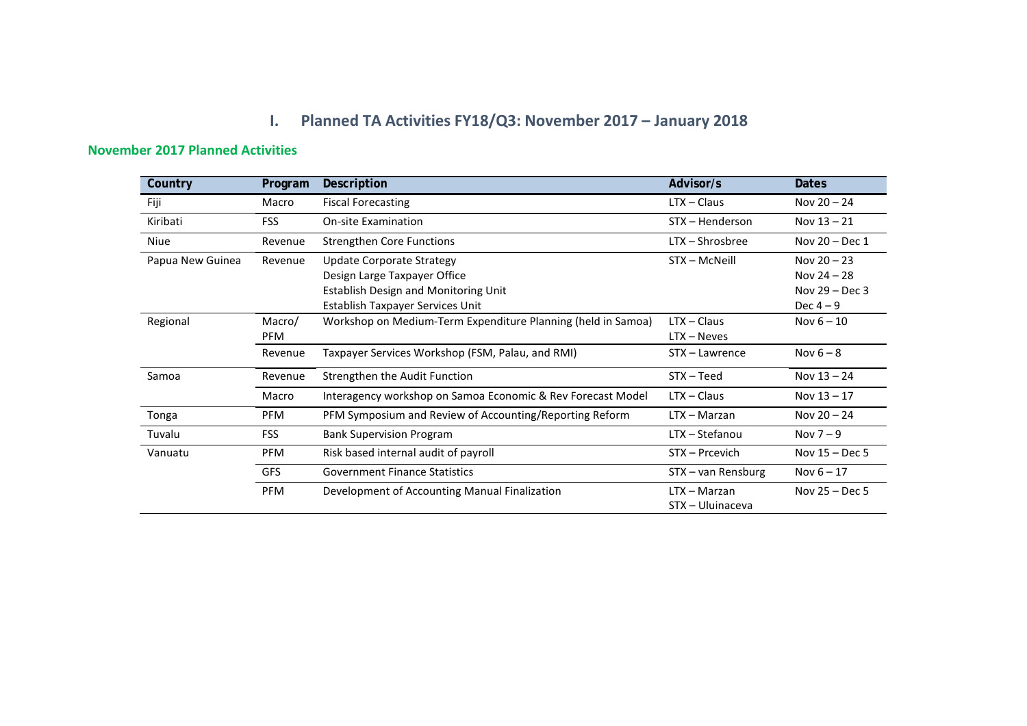## **I. Planned TA Activities FY18/Q3: November 2017 – January 2018**

## **November 2017 Planned Activities**

| Country          | Program       | Description                                                                                                                                  | Advisor/s                          | <b>Dates</b>                                                  |
|------------------|---------------|----------------------------------------------------------------------------------------------------------------------------------------------|------------------------------------|---------------------------------------------------------------|
| Fiji             | Macro         | <b>Fiscal Forecasting</b>                                                                                                                    | $LTX - Claus$                      | Nov $20 - 24$                                                 |
| Kiribati         | <b>FSS</b>    | <b>On-site Examination</b>                                                                                                                   | STX - Henderson                    | Nov $13 - 21$                                                 |
| Niue             | Revenue       | <b>Strengthen Core Functions</b>                                                                                                             | $LTX - Shrosbree$                  | Nov 20 - Dec 1                                                |
| Papua New Guinea | Revenue       | Update Corporate Strategy<br>Design Large Taxpayer Office<br><b>Establish Design and Monitoring Unit</b><br>Establish Taxpayer Services Unit | STX - McNeill                      | Nov $20 - 23$<br>Nov 24 - 28<br>Nov $29 - Dec 3$<br>Dec $4-9$ |
| Regional         | Macro/<br>PFM | Workshop on Medium-Term Expenditure Planning (held in Samoa)                                                                                 | $LTX - Claus$<br>$LTX - Neves$     | Nov $6 - 10$                                                  |
|                  | Revenue       | Taxpayer Services Workshop (FSM, Palau, and RMI)                                                                                             | STX - Lawrence                     | Nov $6 - 8$                                                   |
| Samoa            | Revenue       | Strengthen the Audit Function                                                                                                                | $STX - Teed$                       | Nov $13 - 24$                                                 |
|                  | Macro         | Interagency workshop on Samoa Economic & Rev Forecast Model                                                                                  | $LTX - Claus$                      | Nov $13 - 17$                                                 |
| Tonga            | <b>PFM</b>    | PFM Symposium and Review of Accounting/Reporting Reform                                                                                      | $LTX - Marzan$                     | Nov $20 - 24$                                                 |
| Tuvalu           | <b>FSS</b>    | <b>Bank Supervision Program</b>                                                                                                              | LTX - Stefanou                     | Nov $7-9$                                                     |
| Vanuatu          | <b>PFM</b>    | Risk based internal audit of payroll                                                                                                         | STX - Prcevich                     | Nov $15 - Dec 5$                                              |
|                  | GFS           | <b>Government Finance Statistics</b>                                                                                                         | STX - van Rensburg                 | Nov $6 - 17$                                                  |
|                  | <b>PFM</b>    | Development of Accounting Manual Finalization                                                                                                | $LTX - Marzan$<br>STX - Uluinaceva | Nov $25 - Dec 5$                                              |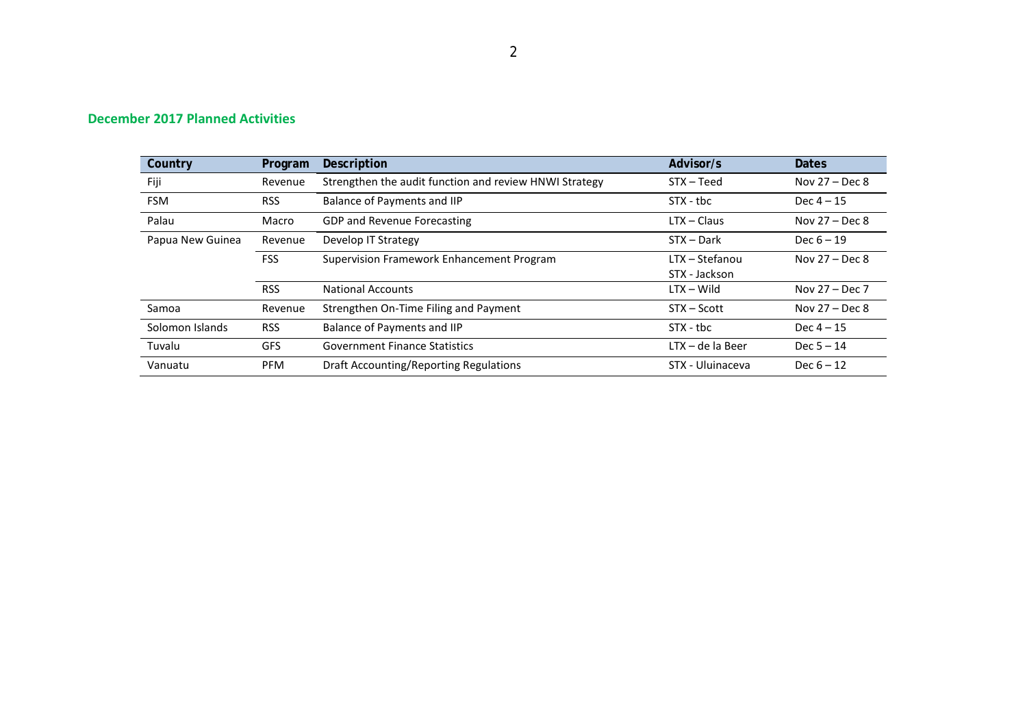| Country          | Program    | Description                                            | Advisor/s          | <b>Dates</b>     |
|------------------|------------|--------------------------------------------------------|--------------------|------------------|
| Fiji             | Revenue    | Strengthen the audit function and review HNWI Strategy | $STX - Teed$       | Nov $27 - Dec 8$ |
| <b>FSM</b>       | <b>RSS</b> | Balance of Payments and IIP                            | $STX - tbc$        | Dec $4 - 15$     |
| Palau            | Macro      | <b>GDP and Revenue Forecasting</b>                     | $LTX - Claus$      | Nov $27 - Dec 8$ |
| Papua New Guinea | Revenue    | Develop IT Strategy                                    | $STX - Dark$       | Dec $6 - 19$     |
|                  | <b>FSS</b> | Supervision Framework Enhancement Program              | LTX – Stefanou     | Nov $27 - Dec 8$ |
|                  |            |                                                        | STX - Jackson      |                  |
|                  | <b>RSS</b> | <b>National Accounts</b>                               | $LTX - Wild$       | Nov 27 - Dec 7   |
| Samoa            | Revenue    | Strengthen On-Time Filing and Payment                  | $STX - Scott$      | Nov $27 - Dec 8$ |
| Solomon Islands  | <b>RSS</b> | Balance of Payments and IIP                            | $STX - tbc$        | Dec $4 - 15$     |
| Tuvalu           | <b>GFS</b> | <b>Government Finance Statistics</b>                   | $LTX - de$ la Beer | Dec $5 - 14$     |
| Vanuatu          | <b>PFM</b> | <b>Draft Accounting/Reporting Regulations</b>          | STX - Uluinaceva   | Dec $6 - 12$     |

## **December 2017 Planned Activities**